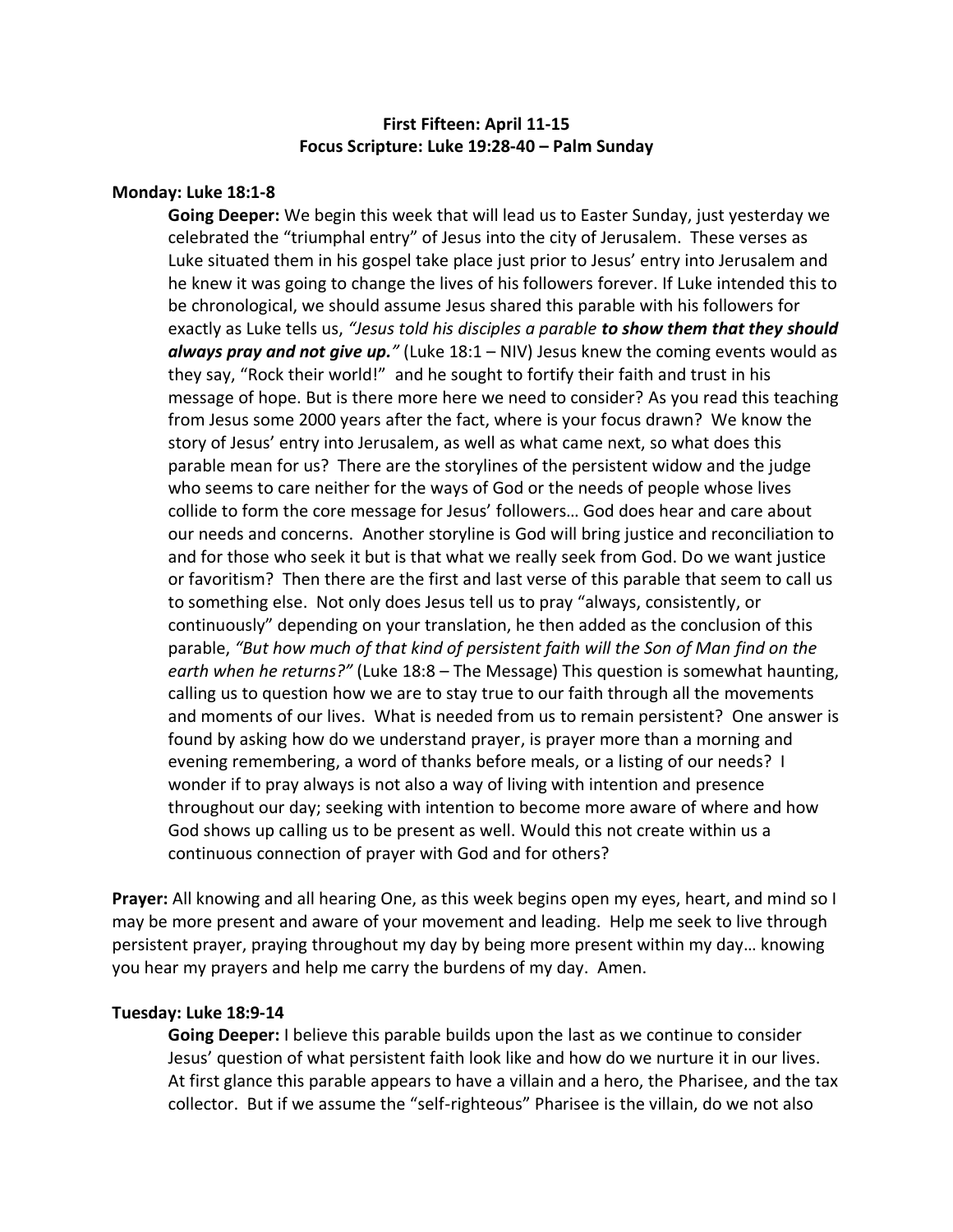# **First Fifteen: April 11-15 Focus Scripture: Luke 19:28-40 – Palm Sunday**

## **Monday: Luke 18:1-8**

**Going Deeper:** We begin this week that will lead us to Easter Sunday, just yesterday we celebrated the "triumphal entry" of Jesus into the city of Jerusalem. These verses as Luke situated them in his gospel take place just prior to Jesus' entry into Jerusalem and he knew it was going to change the lives of his followers forever. If Luke intended this to be chronological, we should assume Jesus shared this parable with his followers for exactly as Luke tells us, *"Jesus told his disciples a parable to show them that they should always pray and not give up."* (Luke 18:1 – NIV) Jesus knew the coming events would as they say, "Rock their world!" and he sought to fortify their faith and trust in his message of hope. But is there more here we need to consider? As you read this teaching from Jesus some 2000 years after the fact, where is your focus drawn? We know the story of Jesus' entry into Jerusalem, as well as what came next, so what does this parable mean for us? There are the storylines of the persistent widow and the judge who seems to care neither for the ways of God or the needs of people whose lives collide to form the core message for Jesus' followers… God does hear and care about our needs and concerns. Another storyline is God will bring justice and reconciliation to and for those who seek it but is that what we really seek from God. Do we want justice or favoritism? Then there are the first and last verse of this parable that seem to call us to something else. Not only does Jesus tell us to pray "always, consistently, or continuously" depending on your translation, he then added as the conclusion of this parable, *"But how much of that kind of persistent faith will the Son of Man find on the earth when he returns?"* (Luke 18:8 – The Message) This question is somewhat haunting, calling us to question how we are to stay true to our faith through all the movements and moments of our lives. What is needed from us to remain persistent? One answer is found by asking how do we understand prayer, is prayer more than a morning and evening remembering, a word of thanks before meals, or a listing of our needs? I wonder if to pray always is not also a way of living with intention and presence throughout our day; seeking with intention to become more aware of where and how God shows up calling us to be present as well. Would this not create within us a continuous connection of prayer with God and for others?

**Prayer:** All knowing and all hearing One, as this week begins open my eyes, heart, and mind so I may be more present and aware of your movement and leading. Help me seek to live through persistent prayer, praying throughout my day by being more present within my day… knowing you hear my prayers and help me carry the burdens of my day. Amen.

#### **Tuesday: Luke 18:9-14**

**Going Deeper:** I believe this parable builds upon the last as we continue to consider Jesus' question of what persistent faith look like and how do we nurture it in our lives. At first glance this parable appears to have a villain and a hero, the Pharisee, and the tax collector. But if we assume the "self-righteous" Pharisee is the villain, do we not also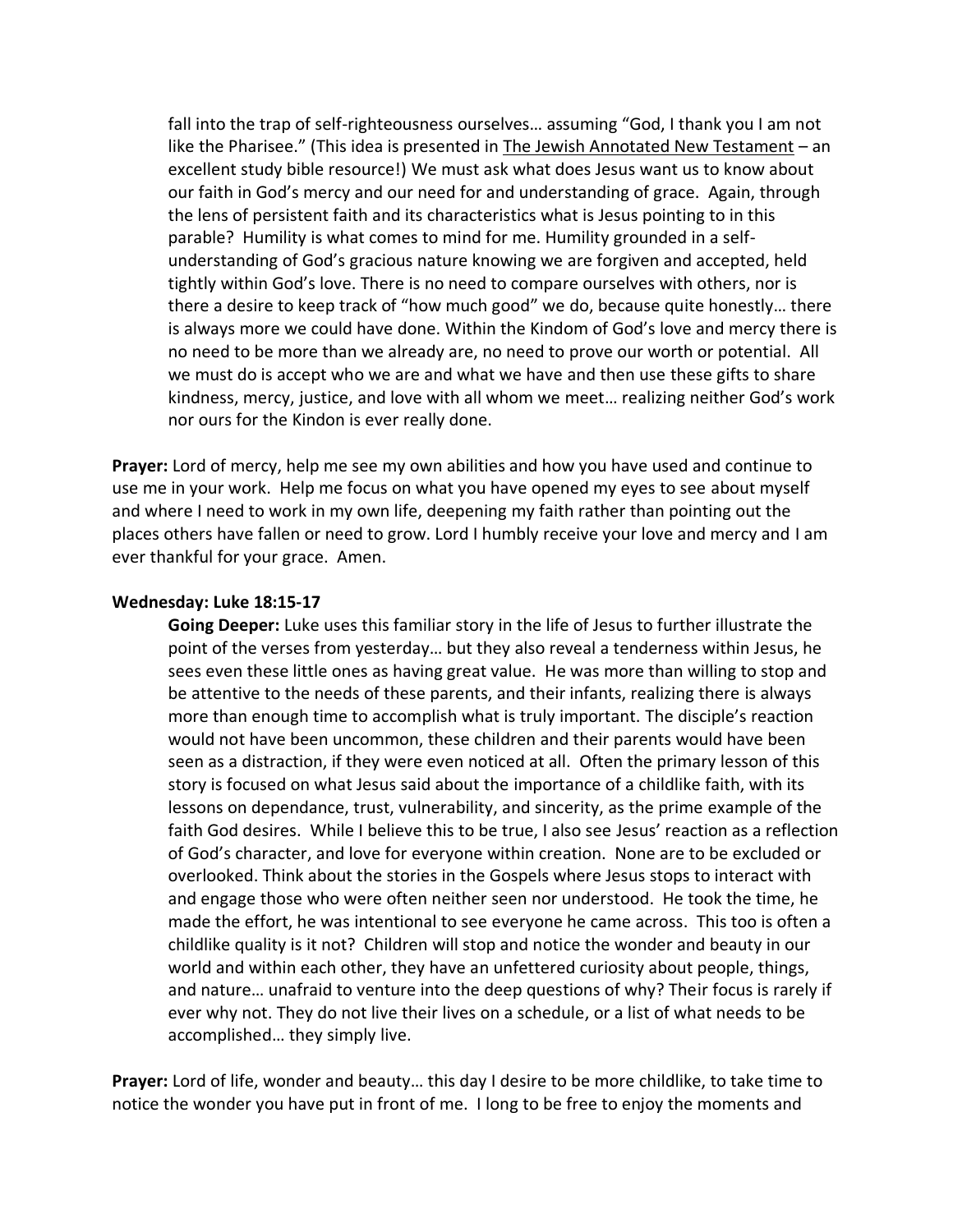fall into the trap of self-righteousness ourselves… assuming "God, I thank you I am not like the Pharisee." (This idea is presented in The Jewish Annotated New Testament – an excellent study bible resource!) We must ask what does Jesus want us to know about our faith in God's mercy and our need for and understanding of grace. Again, through the lens of persistent faith and its characteristics what is Jesus pointing to in this parable? Humility is what comes to mind for me. Humility grounded in a selfunderstanding of God's gracious nature knowing we are forgiven and accepted, held tightly within God's love. There is no need to compare ourselves with others, nor is there a desire to keep track of "how much good" we do, because quite honestly… there is always more we could have done. Within the Kindom of God's love and mercy there is no need to be more than we already are, no need to prove our worth or potential. All we must do is accept who we are and what we have and then use these gifts to share kindness, mercy, justice, and love with all whom we meet… realizing neither God's work nor ours for the Kindon is ever really done.

**Prayer:** Lord of mercy, help me see my own abilities and how you have used and continue to use me in your work. Help me focus on what you have opened my eyes to see about myself and where I need to work in my own life, deepening my faith rather than pointing out the places others have fallen or need to grow. Lord I humbly receive your love and mercy and I am ever thankful for your grace. Amen.

#### **Wednesday: Luke 18:15-17**

**Going Deeper:** Luke uses this familiar story in the life of Jesus to further illustrate the point of the verses from yesterday… but they also reveal a tenderness within Jesus, he sees even these little ones as having great value. He was more than willing to stop and be attentive to the needs of these parents, and their infants, realizing there is always more than enough time to accomplish what is truly important. The disciple's reaction would not have been uncommon, these children and their parents would have been seen as a distraction, if they were even noticed at all. Often the primary lesson of this story is focused on what Jesus said about the importance of a childlike faith, with its lessons on dependance, trust, vulnerability, and sincerity, as the prime example of the faith God desires. While I believe this to be true, I also see Jesus' reaction as a reflection of God's character, and love for everyone within creation. None are to be excluded or overlooked. Think about the stories in the Gospels where Jesus stops to interact with and engage those who were often neither seen nor understood. He took the time, he made the effort, he was intentional to see everyone he came across. This too is often a childlike quality is it not? Children will stop and notice the wonder and beauty in our world and within each other, they have an unfettered curiosity about people, things, and nature… unafraid to venture into the deep questions of why? Their focus is rarely if ever why not. They do not live their lives on a schedule, or a list of what needs to be accomplished… they simply live.

**Prayer:** Lord of life, wonder and beauty… this day I desire to be more childlike, to take time to notice the wonder you have put in front of me. I long to be free to enjoy the moments and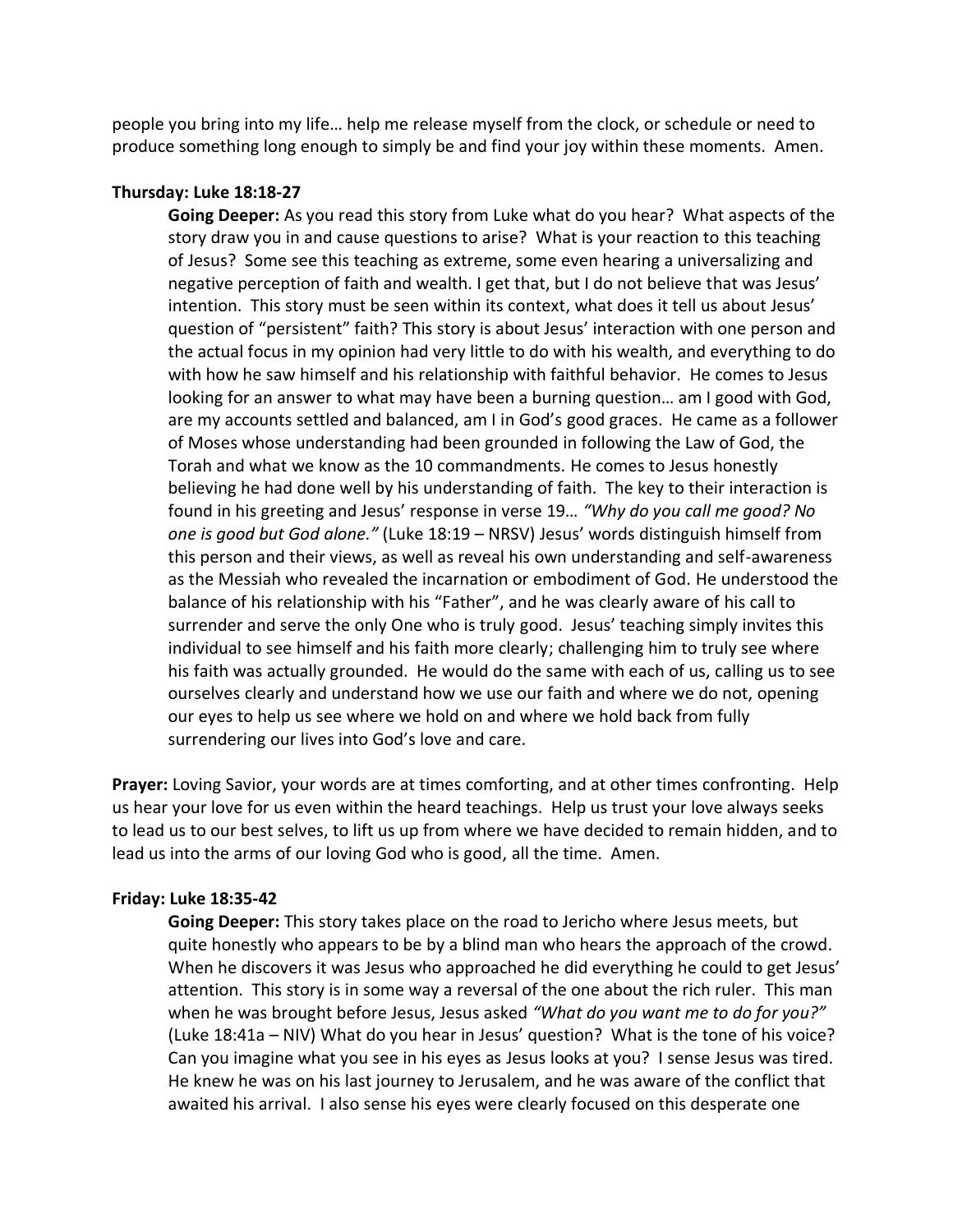people you bring into my life… help me release myself from the clock, or schedule or need to produce something long enough to simply be and find your joy within these moments. Amen.

## **Thursday: Luke 18:18-27**

**Going Deeper:** As you read this story from Luke what do you hear? What aspects of the story draw you in and cause questions to arise? What is your reaction to this teaching of Jesus? Some see this teaching as extreme, some even hearing a universalizing and negative perception of faith and wealth. I get that, but I do not believe that was Jesus' intention. This story must be seen within its context, what does it tell us about Jesus' question of "persistent" faith? This story is about Jesus' interaction with one person and the actual focus in my opinion had very little to do with his wealth, and everything to do with how he saw himself and his relationship with faithful behavior. He comes to Jesus looking for an answer to what may have been a burning question… am I good with God, are my accounts settled and balanced, am I in God's good graces. He came as a follower of Moses whose understanding had been grounded in following the Law of God, the Torah and what we know as the 10 commandments. He comes to Jesus honestly believing he had done well by his understanding of faith. The key to their interaction is found in his greeting and Jesus' response in verse 19… *"Why do you call me good? No one is good but God alone."* (Luke 18:19 – NRSV) Jesus' words distinguish himself from this person and their views, as well as reveal his own understanding and self-awareness as the Messiah who revealed the incarnation or embodiment of God. He understood the balance of his relationship with his "Father", and he was clearly aware of his call to surrender and serve the only One who is truly good. Jesus' teaching simply invites this individual to see himself and his faith more clearly; challenging him to truly see where his faith was actually grounded. He would do the same with each of us, calling us to see ourselves clearly and understand how we use our faith and where we do not, opening our eyes to help us see where we hold on and where we hold back from fully surrendering our lives into God's love and care.

**Prayer:** Loving Savior, your words are at times comforting, and at other times confronting. Help us hear your love for us even within the heard teachings. Help us trust your love always seeks to lead us to our best selves, to lift us up from where we have decided to remain hidden, and to lead us into the arms of our loving God who is good, all the time. Amen.

## **Friday: Luke 18:35-42**

**Going Deeper:** This story takes place on the road to Jericho where Jesus meets, but quite honestly who appears to be by a blind man who hears the approach of the crowd. When he discovers it was Jesus who approached he did everything he could to get Jesus' attention. This story is in some way a reversal of the one about the rich ruler. This man when he was brought before Jesus, Jesus asked *"What do you want me to do for you?"*  (Luke 18:41a – NIV) What do you hear in Jesus' question? What is the tone of his voice? Can you imagine what you see in his eyes as Jesus looks at you? I sense Jesus was tired. He knew he was on his last journey to Jerusalem, and he was aware of the conflict that awaited his arrival. I also sense his eyes were clearly focused on this desperate one